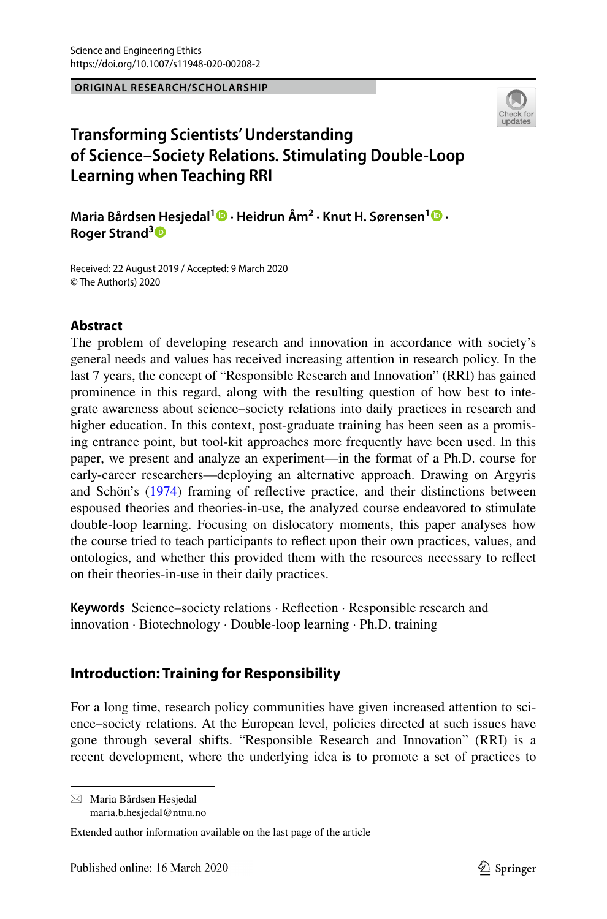**ORIGINAL RESEARCH/SCHOLARSHIP**



# **Transforming Scientists' Understanding of Science–Society Relations. Stimulating Double‑Loop Learning when Teaching RRI**

**Maria Bårdsen Hesjedal1  [·](http://orcid.org/0000-0003-0982-1262) Heidrun Åm2 · Knut H. Sørensen[1](http://orcid.org/0000-0003-0829-3496) · Roger Strand[3](http://orcid.org/0000-0001-6159-1586)**

Received: 22 August 2019 / Accepted: 9 March 2020 © The Author(s) 2020

### **Abstract**

The problem of developing research and innovation in accordance with society's general needs and values has received increasing attention in research policy. In the last 7 years, the concept of "Responsible Research and Innovation" (RRI) has gained prominence in this regard, along with the resulting question of how best to integrate awareness about science–society relations into daily practices in research and higher education. In this context, post-graduate training has been seen as a promising entrance point, but tool-kit approaches more frequently have been used. In this paper, we present and analyze an experiment—in the format of a Ph.D. course for early-career researchers—deploying an alternative approach. Drawing on Argyris and Schön's [\(1974](#page-17-0)) framing of refective practice, and their distinctions between espoused theories and theories-in-use, the analyzed course endeavored to stimulate double-loop learning. Focusing on dislocatory moments, this paper analyses how the course tried to teach participants to refect upon their own practices, values, and ontologies, and whether this provided them with the resources necessary to refect on their theories-in-use in their daily practices.

**Keywords** Science–society relations · Refection · Responsible research and innovation · Biotechnology · Double-loop learning · Ph.D. training

# **Introduction: Training for Responsibility**

For a long time, research policy communities have given increased attention to science–society relations. At the European level, policies directed at such issues have gone through several shifts. "Responsible Research and Innovation" (RRI) is a recent development, where the underlying idea is to promote a set of practices to

 $\boxtimes$  Maria Bårdsen Hesjedal maria.b.hesjedal@ntnu.no

Extended author information available on the last page of the article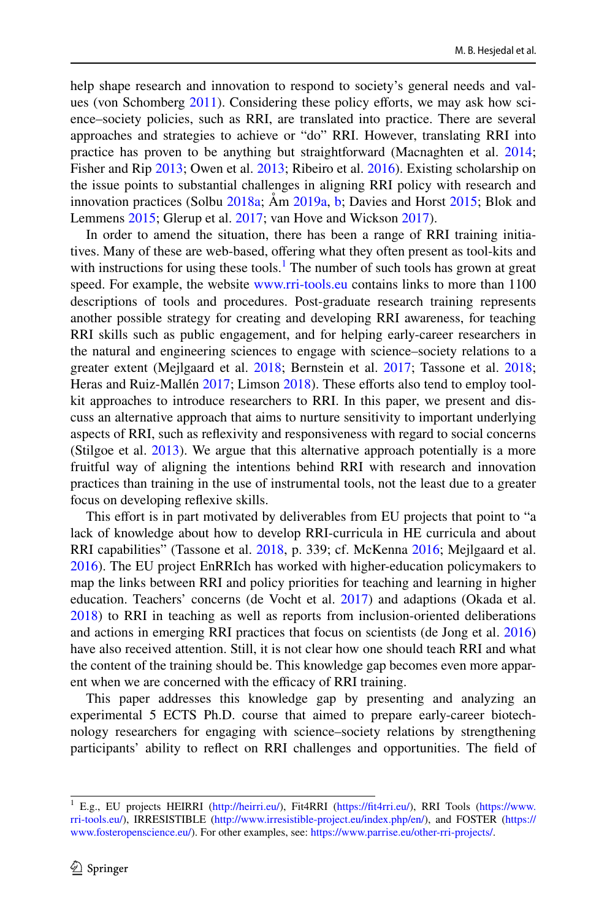help shape research and innovation to respond to society's general needs and values (von Schomberg [2011](#page-19-0)). Considering these policy eforts, we may ask how science–society policies, such as RRI, are translated into practice. There are several approaches and strategies to achieve or "do" RRI. However, translating RRI into practice has proven to be anything but straightforward (Macnaghten et al. [2014;](#page-18-0) Fisher and Rip [2013;](#page-18-1) Owen et al. [2013](#page-19-1); Ribeiro et al. [2016](#page-19-2)). Existing scholarship on the issue points to substantial challenges in aligning RRI policy with research and innovation practices (Solbu [2018a;](#page-19-3) Åm [2019a,](#page-17-1) [b](#page-17-2); Davies and Horst [2015;](#page-18-2) Blok and Lemmens [2015;](#page-17-3) Glerup et al. [2017;](#page-18-3) van Hove and Wickson [2017](#page-19-4)).

In order to amend the situation, there has been a range of RRI training initiatives. Many of these are web-based, ofering what they often present as tool-kits and with instructions for using these tools.<sup>[1](#page-1-0)</sup> The number of such tools has grown at great speed. For example, the website [www.rri-tools.eu](http://www.rri-tools.eu) contains links to more than 1100 descriptions of tools and procedures. Post-graduate research training represents another possible strategy for creating and developing RRI awareness, for teaching RRI skills such as public engagement, and for helping early-career researchers in the natural and engineering sciences to engage with science–society relations to a greater extent (Mejlgaard et al. [2018;](#page-19-5) Bernstein et al. [2017;](#page-17-4) Tassone et al. [2018;](#page-19-6) Heras and Ruiz-Mallén [2017;](#page-18-4) Limson [2018](#page-18-5)). These efforts also tend to employ toolkit approaches to introduce researchers to RRI. In this paper, we present and discuss an alternative approach that aims to nurture sensitivity to important underlying aspects of RRI, such as refexivity and responsiveness with regard to social concerns (Stilgoe et al. [2013\)](#page-19-7). We argue that this alternative approach potentially is a more fruitful way of aligning the intentions behind RRI with research and innovation practices than training in the use of instrumental tools, not the least due to a greater focus on developing refexive skills.

This efort is in part motivated by deliverables from EU projects that point to "a lack of knowledge about how to develop RRI-curricula in HE curricula and about RRI capabilities" (Tassone et al. [2018,](#page-19-6) p. 339; cf. McKenna [2016](#page-18-6); Mejlgaard et al. [2016](#page-19-8)). The EU project EnRRIch has worked with higher-education policymakers to map the links between RRI and policy priorities for teaching and learning in higher education. Teachers' concerns (de Vocht et al. [2017\)](#page-18-7) and adaptions (Okada et al. [2018](#page-19-9)) to RRI in teaching as well as reports from inclusion-oriented deliberations and actions in emerging RRI practices that focus on scientists (de Jong et al. [2016](#page-18-8)) have also received attention. Still, it is not clear how one should teach RRI and what the content of the training should be. This knowledge gap becomes even more apparent when we are concerned with the efficacy of RRI training.

This paper addresses this knowledge gap by presenting and analyzing an experimental 5 ECTS Ph.D. course that aimed to prepare early-career biotechnology researchers for engaging with science–society relations by strengthening participants' ability to refect on RRI challenges and opportunities. The feld of

<span id="page-1-0"></span><sup>1</sup> E.g., EU projects HEIRRI ([http://heirri.eu/\)](http://heirri.eu/), Fit4RRI [\(https://ft4rri.eu/\)](https://fit4rri.eu/), RRI Tools [\(https://www.](https://www.rri-tools.eu/) [rri-tools.eu/\)](https://www.rri-tools.eu/), IRRESISTIBLE [\(http://www.irresistible-project.eu/index.php/en/](http://www.irresistible-project.eu/index.php/en/)), and FOSTER [\(https://](https://www.fosteropenscience.eu/) [www.fosteropenscience.eu/\)](https://www.fosteropenscience.eu/). For other examples, see: [https://www.parrise.eu/other-rri-projects/.](https://www.parrise.eu/other-rri-projects/)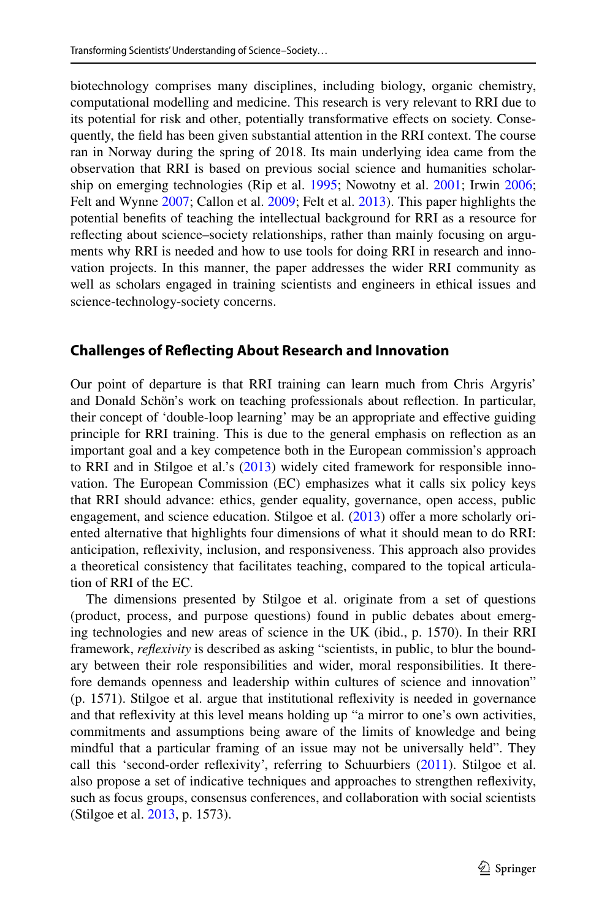biotechnology comprises many disciplines, including biology, organic chemistry, computational modelling and medicine. This research is very relevant to RRI due to its potential for risk and other, potentially transformative efects on society. Consequently, the feld has been given substantial attention in the RRI context. The course ran in Norway during the spring of 2018. Its main underlying idea came from the observation that RRI is based on previous social science and humanities scholarship on emerging technologies (Rip et al. [1995](#page-19-10); Nowotny et al. [2001](#page-19-11); Irwin [2006;](#page-18-9) Felt and Wynne [2007](#page-18-10); Callon et al. [2009](#page-17-5); Felt et al. [2013\)](#page-18-11). This paper highlights the potential benefts of teaching the intellectual background for RRI as a resource for refecting about science–society relationships, rather than mainly focusing on arguments why RRI is needed and how to use tools for doing RRI in research and innovation projects. In this manner, the paper addresses the wider RRI community as well as scholars engaged in training scientists and engineers in ethical issues and science-technology-society concerns.

#### **Challenges of Refecting About Research and Innovation**

Our point of departure is that RRI training can learn much from Chris Argyris' and Donald Schön's work on teaching professionals about refection. In particular, their concept of 'double-loop learning' may be an appropriate and efective guiding principle for RRI training. This is due to the general emphasis on refection as an important goal and a key competence both in the European commission's approach to RRI and in Stilgoe et al.'s ([2013\)](#page-19-7) widely cited framework for responsible innovation. The European Commission (EC) emphasizes what it calls six policy keys that RRI should advance: ethics, gender equality, governance, open access, public engagement, and science education. Stilgoe et al. ([2013\)](#page-19-7) offer a more scholarly oriented alternative that highlights four dimensions of what it should mean to do RRI: anticipation, refexivity, inclusion, and responsiveness. This approach also provides a theoretical consistency that facilitates teaching, compared to the topical articulation of RRI of the EC.

The dimensions presented by Stilgoe et al. originate from a set of questions (product, process, and purpose questions) found in public debates about emerging technologies and new areas of science in the UK (ibid., p. 1570). In their RRI framework, *refexivity* is described as asking "scientists, in public, to blur the boundary between their role responsibilities and wider, moral responsibilities. It therefore demands openness and leadership within cultures of science and innovation" (p. 1571). Stilgoe et al. argue that institutional refexivity is needed in governance and that refexivity at this level means holding up "a mirror to one's own activities, commitments and assumptions being aware of the limits of knowledge and being mindful that a particular framing of an issue may not be universally held". They call this 'second-order refexivity', referring to Schuurbiers ([2011\)](#page-19-12). Stilgoe et al. also propose a set of indicative techniques and approaches to strengthen refexivity, such as focus groups, consensus conferences, and collaboration with social scientists (Stilgoe et al. [2013,](#page-19-7) p. 1573).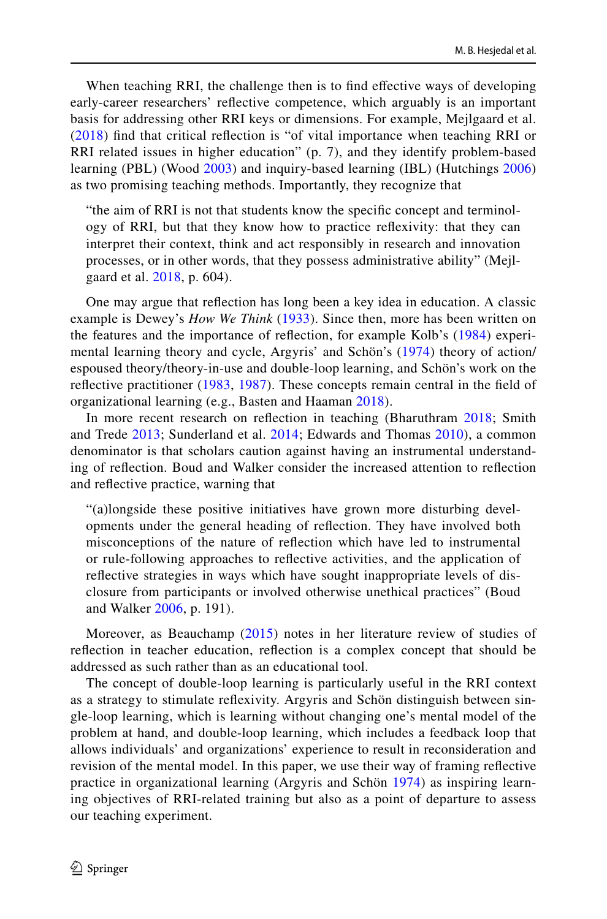When teaching RRI, the challenge then is to find effective ways of developing early-career researchers' refective competence, which arguably is an important basis for addressing other RRI keys or dimensions. For example, Mejlgaard et al. [\(2018](#page-19-5)) fnd that critical refection is "of vital importance when teaching RRI or RRI related issues in higher education" (p. 7), and they identify problem-based learning (PBL) (Wood [2003](#page-19-13)) and inquiry-based learning (IBL) (Hutchings [2006](#page-18-12)) as two promising teaching methods. Importantly, they recognize that

"the aim of RRI is not that students know the specifc concept and terminology of RRI, but that they know how to practice refexivity: that they can interpret their context, think and act responsibly in research and innovation processes, or in other words, that they possess administrative ability" (Mejlgaard et al. [2018](#page-19-5), p. 604).

One may argue that refection has long been a key idea in education. A classic example is Dewey's *How We Think* ([1933\)](#page-18-13). Since then, more has been written on the features and the importance of refection, for example Kolb's ([1984](#page-18-14)) experimental learning theory and cycle, Argyris' and Schön's ([1974\)](#page-17-0) theory of action/ espoused theory/theory-in-use and double-loop learning, and Schön's work on the refective practitioner [\(1983](#page-19-14), [1987](#page-19-15)). These concepts remain central in the feld of organizational learning (e.g., Basten and Haaman [2018\)](#page-17-6).

In more recent research on refection in teaching (Bharuthram [2018;](#page-17-7) Smith and Trede [2013](#page-19-16); Sunderland et al. [2014](#page-19-17); Edwards and Thomas [2010\)](#page-18-15), a common denominator is that scholars caution against having an instrumental understanding of refection. Boud and Walker consider the increased attention to refection and refective practice, warning that

"(a)longside these positive initiatives have grown more disturbing developments under the general heading of refection. They have involved both misconceptions of the nature of refection which have led to instrumental or rule-following approaches to refective activities, and the application of refective strategies in ways which have sought inappropriate levels of disclosure from participants or involved otherwise unethical practices" (Boud and Walker [2006,](#page-17-8) p. 191).

Moreover, as Beauchamp ([2015](#page-17-9)) notes in her literature review of studies of refection in teacher education, refection is a complex concept that should be addressed as such rather than as an educational tool.

The concept of double-loop learning is particularly useful in the RRI context as a strategy to stimulate refexivity. Argyris and Schön distinguish between single-loop learning, which is learning without changing one's mental model of the problem at hand, and double-loop learning, which includes a feedback loop that allows individuals' and organizations' experience to result in reconsideration and revision of the mental model. In this paper, we use their way of framing refective practice in organizational learning (Argyris and Schön [1974\)](#page-17-0) as inspiring learning objectives of RRI-related training but also as a point of departure to assess our teaching experiment.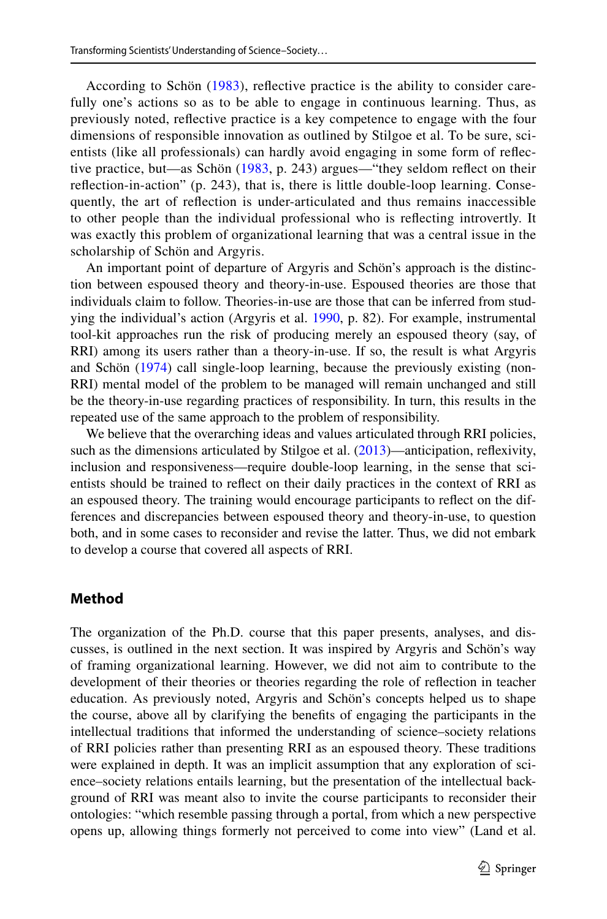According to Schön [\(1983\)](#page-19-14), refective practice is the ability to consider carefully one's actions so as to be able to engage in continuous learning. Thus, as previously noted, refective practice is a key competence to engage with the four dimensions of responsible innovation as outlined by Stilgoe et al. To be sure, scientists (like all professionals) can hardly avoid engaging in some form of refective practice, but—as Schön [\(1983,](#page-19-14) p. 243) argues—"they seldom refect on their refection-in-action" (p. 243), that is, there is little double-loop learning. Consequently, the art of refection is under-articulated and thus remains inaccessible to other people than the individual professional who is refecting introvertly. It was exactly this problem of organizational learning that was a central issue in the scholarship of Schön and Argyris.

An important point of departure of Argyris and Schön's approach is the distinction between espoused theory and theory-in-use. Espoused theories are those that individuals claim to follow. Theories-in-use are those that can be inferred from studying the individual's action (Argyris et al. [1990](#page-17-10), p. 82). For example, instrumental tool-kit approaches run the risk of producing merely an espoused theory (say, of RRI) among its users rather than a theory-in-use. If so, the result is what Argyris and Schön [\(1974](#page-17-0)) call single-loop learning, because the previously existing (non-RRI) mental model of the problem to be managed will remain unchanged and still be the theory-in-use regarding practices of responsibility. In turn, this results in the repeated use of the same approach to the problem of responsibility.

We believe that the overarching ideas and values articulated through RRI policies, such as the dimensions articulated by Stilgoe et al. ([2013\)](#page-19-7)—anticipation, reflexivity, inclusion and responsiveness—require double-loop learning, in the sense that scientists should be trained to refect on their daily practices in the context of RRI as an espoused theory. The training would encourage participants to refect on the differences and discrepancies between espoused theory and theory-in-use, to question both, and in some cases to reconsider and revise the latter. Thus, we did not embark to develop a course that covered all aspects of RRI.

### **Method**

The organization of the Ph.D. course that this paper presents, analyses, and discusses, is outlined in the next section. It was inspired by Argyris and Schön's way of framing organizational learning. However, we did not aim to contribute to the development of their theories or theories regarding the role of refection in teacher education. As previously noted, Argyris and Schön's concepts helped us to shape the course, above all by clarifying the benefts of engaging the participants in the intellectual traditions that informed the understanding of science–society relations of RRI policies rather than presenting RRI as an espoused theory. These traditions were explained in depth. It was an implicit assumption that any exploration of science–society relations entails learning, but the presentation of the intellectual background of RRI was meant also to invite the course participants to reconsider their ontologies: "which resemble passing through a portal, from which a new perspective opens up, allowing things formerly not perceived to come into view" (Land et al.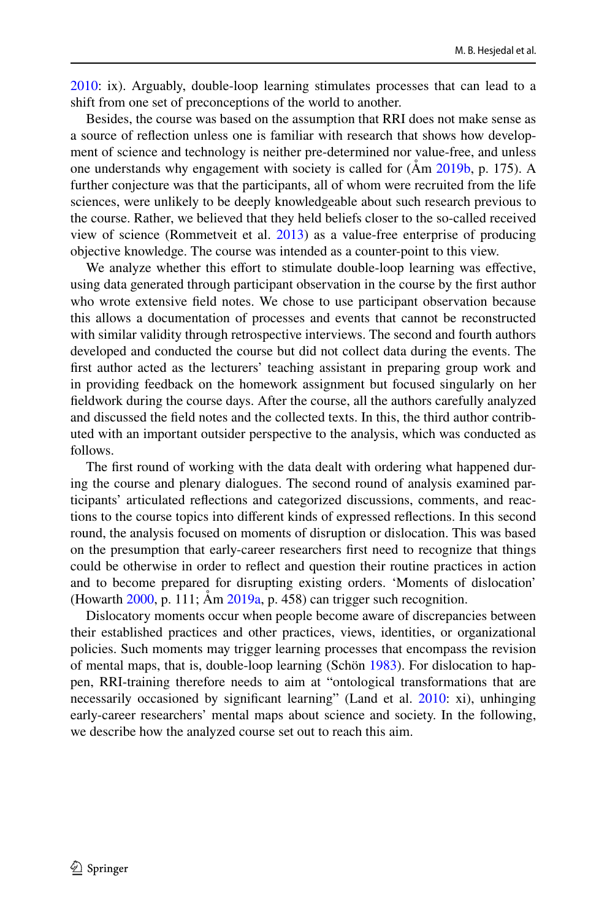[2010](#page-18-16): ix). Arguably, double-loop learning stimulates processes that can lead to a shift from one set of preconceptions of the world to another.

Besides, the course was based on the assumption that RRI does not make sense as a source of refection unless one is familiar with research that shows how development of science and technology is neither pre-determined nor value-free, and unless one understands why engagement with society is called for (Åm [2019b,](#page-17-2) p. 175). A further conjecture was that the participants, all of whom were recruited from the life sciences, were unlikely to be deeply knowledgeable about such research previous to the course. Rather, we believed that they held beliefs closer to the so-called received view of science (Rommetveit et al. [2013](#page-19-18)) as a value-free enterprise of producing objective knowledge. The course was intended as a counter-point to this view.

We analyze whether this effort to stimulate double-loop learning was effective, using data generated through participant observation in the course by the frst author who wrote extensive feld notes. We chose to use participant observation because this allows a documentation of processes and events that cannot be reconstructed with similar validity through retrospective interviews. The second and fourth authors developed and conducted the course but did not collect data during the events. The frst author acted as the lecturers' teaching assistant in preparing group work and in providing feedback on the homework assignment but focused singularly on her feldwork during the course days. After the course, all the authors carefully analyzed and discussed the feld notes and the collected texts. In this, the third author contributed with an important outsider perspective to the analysis, which was conducted as follows.

The frst round of working with the data dealt with ordering what happened during the course and plenary dialogues. The second round of analysis examined participants' articulated refections and categorized discussions, comments, and reactions to the course topics into diferent kinds of expressed refections. In this second round, the analysis focused on moments of disruption or dislocation. This was based on the presumption that early-career researchers frst need to recognize that things could be otherwise in order to refect and question their routine practices in action and to become prepared for disrupting existing orders. 'Moments of dislocation' (Howarth  $2000$ , p. 111; Am  $2019a$ , p. 458) can trigger such recognition.

Dislocatory moments occur when people become aware of discrepancies between their established practices and other practices, views, identities, or organizational policies. Such moments may trigger learning processes that encompass the revision of mental maps, that is, double-loop learning (Schön [1983\)](#page-19-14). For dislocation to happen, RRI-training therefore needs to aim at "ontological transformations that are necessarily occasioned by significant learning" (Land et al. [2010](#page-18-16): xi), unhinging early-career researchers' mental maps about science and society. In the following, we describe how the analyzed course set out to reach this aim.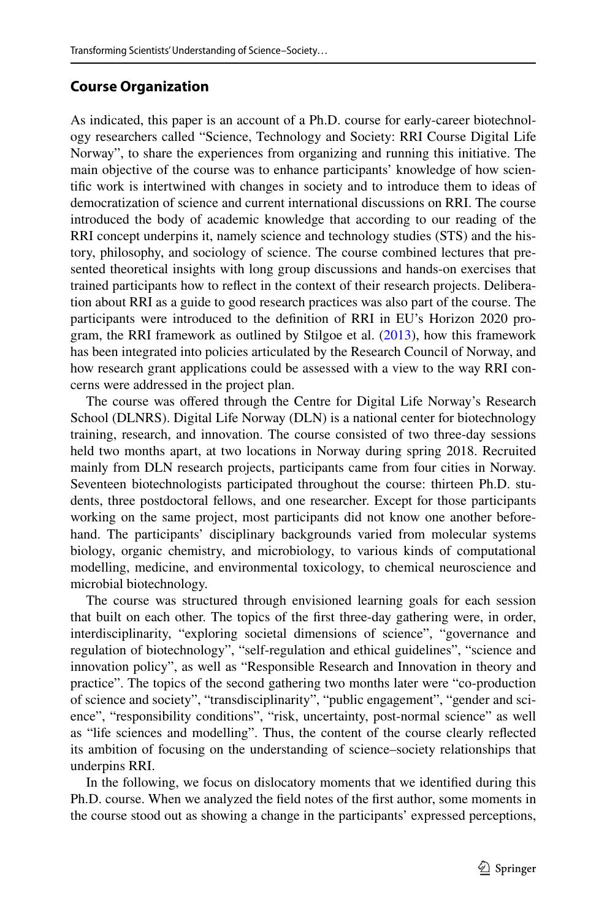### **Course Organization**

As indicated, this paper is an account of a Ph.D. course for early-career biotechnology researchers called "Science, Technology and Society: RRI Course Digital Life Norway", to share the experiences from organizing and running this initiative. The main objective of the course was to enhance participants' knowledge of how scientifc work is intertwined with changes in society and to introduce them to ideas of democratization of science and current international discussions on RRI. The course introduced the body of academic knowledge that according to our reading of the RRI concept underpins it, namely science and technology studies (STS) and the history, philosophy, and sociology of science. The course combined lectures that presented theoretical insights with long group discussions and hands-on exercises that trained participants how to refect in the context of their research projects. Deliberation about RRI as a guide to good research practices was also part of the course. The participants were introduced to the defnition of RRI in EU's Horizon 2020 program, the RRI framework as outlined by Stilgoe et al. ([2013\)](#page-19-7), how this framework has been integrated into policies articulated by the Research Council of Norway, and how research grant applications could be assessed with a view to the way RRI concerns were addressed in the project plan.

The course was ofered through the Centre for Digital Life Norway's Research School (DLNRS). Digital Life Norway (DLN) is a national center for biotechnology training, research, and innovation. The course consisted of two three-day sessions held two months apart, at two locations in Norway during spring 2018. Recruited mainly from DLN research projects, participants came from four cities in Norway. Seventeen biotechnologists participated throughout the course: thirteen Ph.D. students, three postdoctoral fellows, and one researcher. Except for those participants working on the same project, most participants did not know one another beforehand. The participants' disciplinary backgrounds varied from molecular systems biology, organic chemistry, and microbiology, to various kinds of computational modelling, medicine, and environmental toxicology, to chemical neuroscience and microbial biotechnology.

The course was structured through envisioned learning goals for each session that built on each other. The topics of the frst three-day gathering were, in order, interdisciplinarity, "exploring societal dimensions of science", "governance and regulation of biotechnology", "self-regulation and ethical guidelines", "science and innovation policy", as well as "Responsible Research and Innovation in theory and practice". The topics of the second gathering two months later were "co-production of science and society", "transdisciplinarity", "public engagement", "gender and science", "responsibility conditions", "risk, uncertainty, post-normal science" as well as "life sciences and modelling". Thus, the content of the course clearly refected its ambition of focusing on the understanding of science–society relationships that underpins RRI.

In the following, we focus on dislocatory moments that we identifed during this Ph.D. course. When we analyzed the feld notes of the frst author, some moments in the course stood out as showing a change in the participants' expressed perceptions,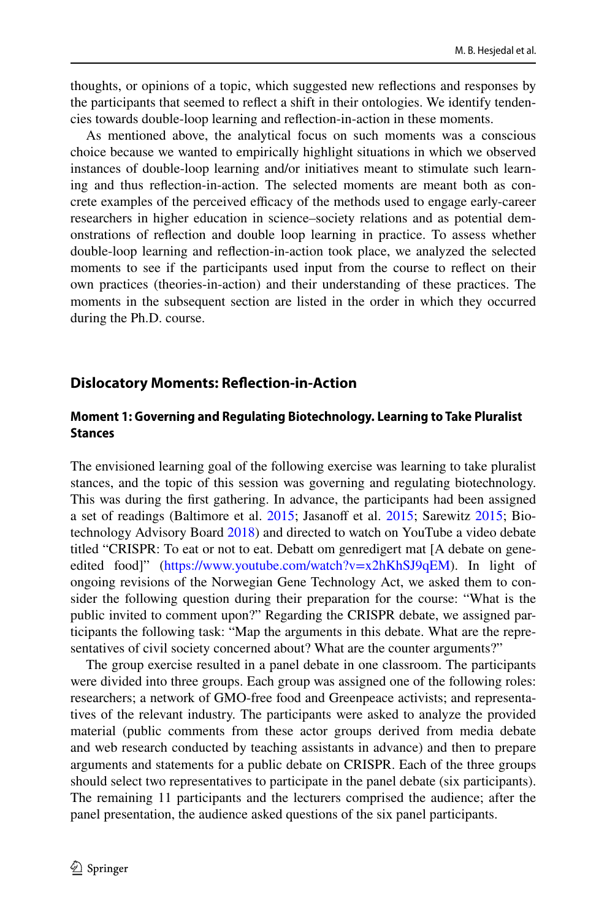thoughts, or opinions of a topic, which suggested new refections and responses by the participants that seemed to refect a shift in their ontologies. We identify tendencies towards double-loop learning and refection-in-action in these moments.

As mentioned above, the analytical focus on such moments was a conscious choice because we wanted to empirically highlight situations in which we observed instances of double-loop learning and/or initiatives meant to stimulate such learning and thus refection-in-action. The selected moments are meant both as concrete examples of the perceived efficacy of the methods used to engage early-career researchers in higher education in science–society relations and as potential demonstrations of refection and double loop learning in practice. To assess whether double-loop learning and refection-in-action took place, we analyzed the selected moments to see if the participants used input from the course to refect on their own practices (theories-in-action) and their understanding of these practices. The moments in the subsequent section are listed in the order in which they occurred during the Ph.D. course.

### **Dislocatory Moments: Refection‑in‑Action**

### **Moment 1: Governing and Regulating Biotechnology. Learning to Take Pluralist Stances**

The envisioned learning goal of the following exercise was learning to take pluralist stances, and the topic of this session was governing and regulating biotechnology. This was during the frst gathering. In advance, the participants had been assigned a set of readings (Baltimore et al. [2015](#page-17-11); Jasanof et al. [2015;](#page-18-18) Sarewitz [2015](#page-19-19); Biotechnology Advisory Board [2018\)](#page-17-12) and directed to watch on YouTube a video debate titled "CRISPR: To eat or not to eat. Debatt om genredigert mat [A debate on geneedited food]" ([https://www.youtube.com/watch?v=x2hKhSJ9qEM\)](https://www.youtube.com/watch?v=x2hKhSJ9qEM). In light of ongoing revisions of the Norwegian Gene Technology Act, we asked them to consider the following question during their preparation for the course: "What is the public invited to comment upon?" Regarding the CRISPR debate, we assigned participants the following task: "Map the arguments in this debate. What are the representatives of civil society concerned about? What are the counter arguments?"

The group exercise resulted in a panel debate in one classroom. The participants were divided into three groups. Each group was assigned one of the following roles: researchers; a network of GMO-free food and Greenpeace activists; and representatives of the relevant industry. The participants were asked to analyze the provided material (public comments from these actor groups derived from media debate and web research conducted by teaching assistants in advance) and then to prepare arguments and statements for a public debate on CRISPR. Each of the three groups should select two representatives to participate in the panel debate (six participants). The remaining 11 participants and the lecturers comprised the audience; after the panel presentation, the audience asked questions of the six panel participants.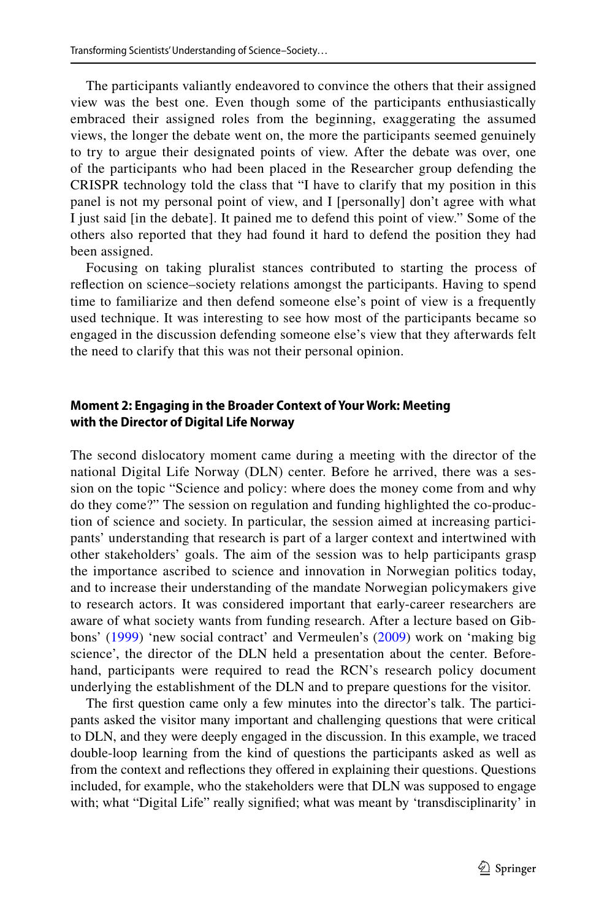The participants valiantly endeavored to convince the others that their assigned view was the best one. Even though some of the participants enthusiastically embraced their assigned roles from the beginning, exaggerating the assumed views, the longer the debate went on, the more the participants seemed genuinely to try to argue their designated points of view. After the debate was over, one of the participants who had been placed in the Researcher group defending the CRISPR technology told the class that "I have to clarify that my position in this panel is not my personal point of view, and I [personally] don't agree with what I just said [in the debate]. It pained me to defend this point of view." Some of the others also reported that they had found it hard to defend the position they had been assigned.

Focusing on taking pluralist stances contributed to starting the process of refection on science–society relations amongst the participants. Having to spend time to familiarize and then defend someone else's point of view is a frequently used technique. It was interesting to see how most of the participants became so engaged in the discussion defending someone else's view that they afterwards felt the need to clarify that this was not their personal opinion.

### **Moment 2: Engaging in the Broader Context of Your Work: Meeting with the Director of Digital Life Norway**

The second dislocatory moment came during a meeting with the director of the national Digital Life Norway (DLN) center. Before he arrived, there was a session on the topic "Science and policy: where does the money come from and why do they come?" The session on regulation and funding highlighted the co-production of science and society. In particular, the session aimed at increasing participants' understanding that research is part of a larger context and intertwined with other stakeholders' goals. The aim of the session was to help participants grasp the importance ascribed to science and innovation in Norwegian politics today, and to increase their understanding of the mandate Norwegian policymakers give to research actors. It was considered important that early-career researchers are aware of what society wants from funding research. After a lecture based on Gibbons' ([1999\)](#page-18-19) 'new social contract' and Vermeulen's ([2009](#page-19-20)) work on 'making big science', the director of the DLN held a presentation about the center. Beforehand, participants were required to read the RCN's research policy document underlying the establishment of the DLN and to prepare questions for the visitor.

The frst question came only a few minutes into the director's talk. The participants asked the visitor many important and challenging questions that were critical to DLN, and they were deeply engaged in the discussion. In this example, we traced double-loop learning from the kind of questions the participants asked as well as from the context and refections they ofered in explaining their questions. Questions included, for example, who the stakeholders were that DLN was supposed to engage with; what "Digital Life" really signifed; what was meant by 'transdisciplinarity' in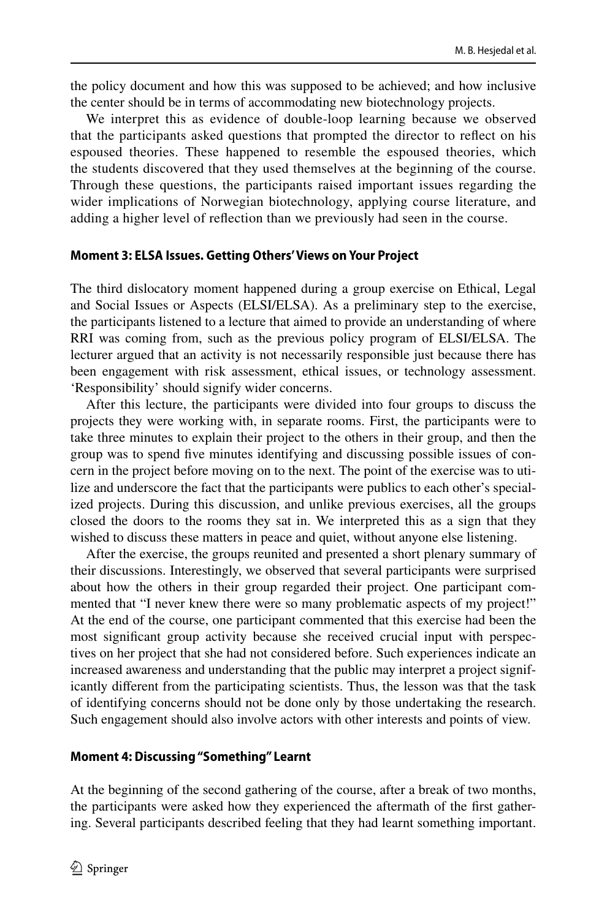the policy document and how this was supposed to be achieved; and how inclusive the center should be in terms of accommodating new biotechnology projects.

We interpret this as evidence of double-loop learning because we observed that the participants asked questions that prompted the director to refect on his espoused theories. These happened to resemble the espoused theories, which the students discovered that they used themselves at the beginning of the course. Through these questions, the participants raised important issues regarding the wider implications of Norwegian biotechnology, applying course literature, and adding a higher level of refection than we previously had seen in the course.

#### **Moment 3: ELSA Issues. Getting Others' Views on Your Project**

The third dislocatory moment happened during a group exercise on Ethical, Legal and Social Issues or Aspects (ELSI/ELSA). As a preliminary step to the exercise, the participants listened to a lecture that aimed to provide an understanding of where RRI was coming from, such as the previous policy program of ELSI/ELSA. The lecturer argued that an activity is not necessarily responsible just because there has been engagement with risk assessment, ethical issues, or technology assessment. 'Responsibility' should signify wider concerns.

After this lecture, the participants were divided into four groups to discuss the projects they were working with, in separate rooms. First, the participants were to take three minutes to explain their project to the others in their group, and then the group was to spend fve minutes identifying and discussing possible issues of concern in the project before moving on to the next. The point of the exercise was to utilize and underscore the fact that the participants were publics to each other's specialized projects. During this discussion, and unlike previous exercises, all the groups closed the doors to the rooms they sat in. We interpreted this as a sign that they wished to discuss these matters in peace and quiet, without anyone else listening.

After the exercise, the groups reunited and presented a short plenary summary of their discussions. Interestingly, we observed that several participants were surprised about how the others in their group regarded their project. One participant commented that "I never knew there were so many problematic aspects of my project!" At the end of the course, one participant commented that this exercise had been the most signifcant group activity because she received crucial input with perspectives on her project that she had not considered before. Such experiences indicate an increased awareness and understanding that the public may interpret a project significantly diferent from the participating scientists. Thus, the lesson was that the task of identifying concerns should not be done only by those undertaking the research. Such engagement should also involve actors with other interests and points of view.

#### **Moment 4: Discussing "Something" Learnt**

At the beginning of the second gathering of the course, after a break of two months, the participants were asked how they experienced the aftermath of the frst gathering. Several participants described feeling that they had learnt something important.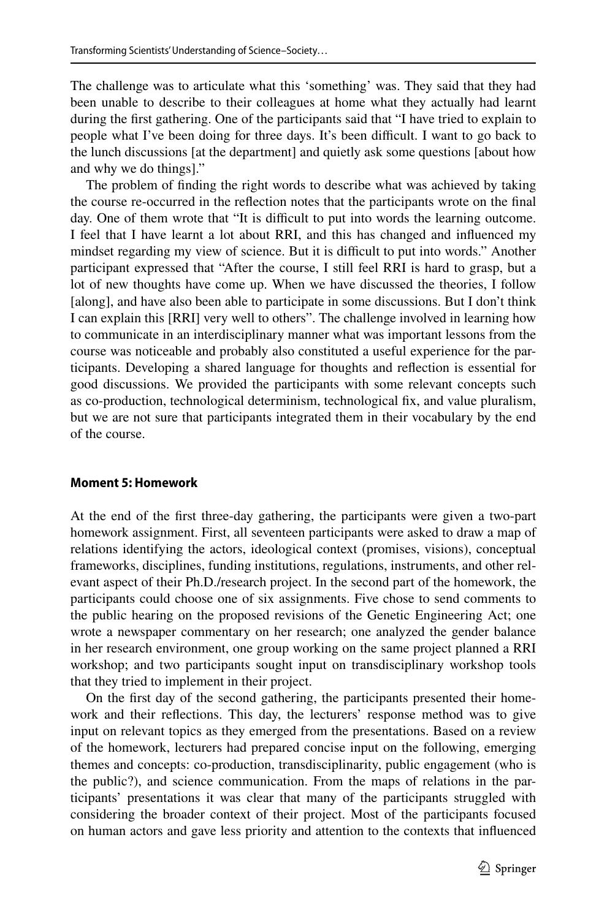The challenge was to articulate what this 'something' was. They said that they had been unable to describe to their colleagues at home what they actually had learnt during the frst gathering. One of the participants said that "I have tried to explain to people what I've been doing for three days. It's been difficult. I want to go back to the lunch discussions [at the department] and quietly ask some questions [about how and why we do things]."

The problem of fnding the right words to describe what was achieved by taking the course re-occurred in the refection notes that the participants wrote on the fnal day. One of them wrote that "It is difficult to put into words the learning outcome. I feel that I have learnt a lot about RRI, and this has changed and infuenced my mindset regarding my view of science. But it is difficult to put into words." Another participant expressed that "After the course, I still feel RRI is hard to grasp, but a lot of new thoughts have come up. When we have discussed the theories, I follow [along], and have also been able to participate in some discussions. But I don't think I can explain this [RRI] very well to others". The challenge involved in learning how to communicate in an interdisciplinary manner what was important lessons from the course was noticeable and probably also constituted a useful experience for the participants. Developing a shared language for thoughts and refection is essential for good discussions. We provided the participants with some relevant concepts such as co-production, technological determinism, technological fx, and value pluralism, but we are not sure that participants integrated them in their vocabulary by the end of the course.

#### **Moment 5: Homework**

At the end of the frst three-day gathering, the participants were given a two-part homework assignment. First, all seventeen participants were asked to draw a map of relations identifying the actors, ideological context (promises, visions), conceptual frameworks, disciplines, funding institutions, regulations, instruments, and other relevant aspect of their Ph.D./research project. In the second part of the homework, the participants could choose one of six assignments. Five chose to send comments to the public hearing on the proposed revisions of the Genetic Engineering Act; one wrote a newspaper commentary on her research; one analyzed the gender balance in her research environment, one group working on the same project planned a RRI workshop; and two participants sought input on transdisciplinary workshop tools that they tried to implement in their project.

On the frst day of the second gathering, the participants presented their homework and their refections. This day, the lecturers' response method was to give input on relevant topics as they emerged from the presentations. Based on a review of the homework, lecturers had prepared concise input on the following, emerging themes and concepts: co-production, transdisciplinarity, public engagement (who is the public?), and science communication. From the maps of relations in the participants' presentations it was clear that many of the participants struggled with considering the broader context of their project. Most of the participants focused on human actors and gave less priority and attention to the contexts that infuenced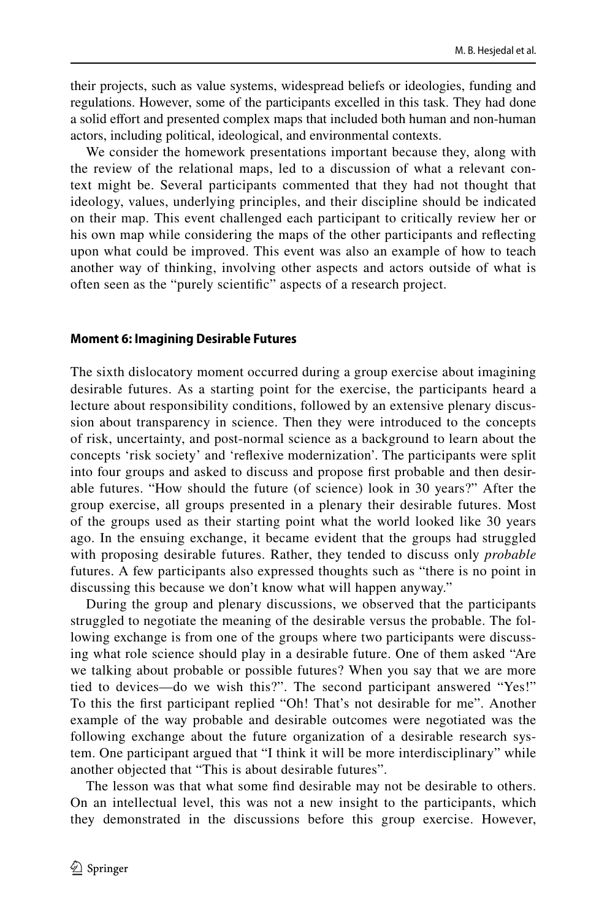their projects, such as value systems, widespread beliefs or ideologies, funding and regulations. However, some of the participants excelled in this task. They had done a solid efort and presented complex maps that included both human and non-human actors, including political, ideological, and environmental contexts.

We consider the homework presentations important because they, along with the review of the relational maps, led to a discussion of what a relevant context might be. Several participants commented that they had not thought that ideology, values, underlying principles, and their discipline should be indicated on their map. This event challenged each participant to critically review her or his own map while considering the maps of the other participants and refecting upon what could be improved. This event was also an example of how to teach another way of thinking, involving other aspects and actors outside of what is often seen as the "purely scientifc" aspects of a research project.

#### **Moment 6: Imagining Desirable Futures**

The sixth dislocatory moment occurred during a group exercise about imagining desirable futures. As a starting point for the exercise, the participants heard a lecture about responsibility conditions, followed by an extensive plenary discussion about transparency in science. Then they were introduced to the concepts of risk, uncertainty, and post-normal science as a background to learn about the concepts 'risk society' and 'refexive modernization'. The participants were split into four groups and asked to discuss and propose frst probable and then desirable futures. "How should the future (of science) look in 30 years?" After the group exercise, all groups presented in a plenary their desirable futures. Most of the groups used as their starting point what the world looked like 30 years ago. In the ensuing exchange, it became evident that the groups had struggled with proposing desirable futures. Rather, they tended to discuss only *probable* futures. A few participants also expressed thoughts such as "there is no point in discussing this because we don't know what will happen anyway."

During the group and plenary discussions, we observed that the participants struggled to negotiate the meaning of the desirable versus the probable. The following exchange is from one of the groups where two participants were discussing what role science should play in a desirable future. One of them asked "Are we talking about probable or possible futures? When you say that we are more tied to devices—do we wish this?". The second participant answered "Yes!" To this the frst participant replied "Oh! That's not desirable for me". Another example of the way probable and desirable outcomes were negotiated was the following exchange about the future organization of a desirable research system. One participant argued that "I think it will be more interdisciplinary" while another objected that "This is about desirable futures".

The lesson was that what some fnd desirable may not be desirable to others. On an intellectual level, this was not a new insight to the participants, which they demonstrated in the discussions before this group exercise. However,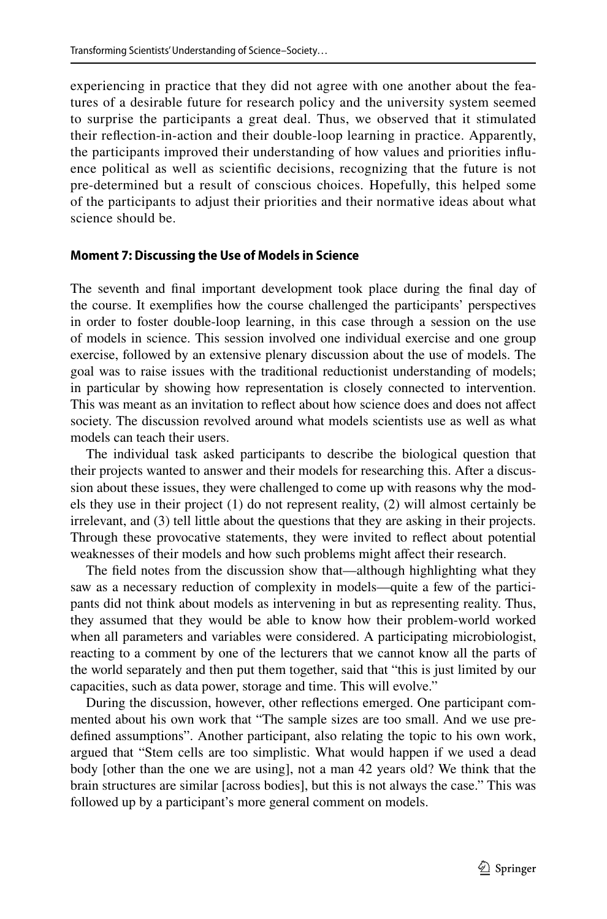experiencing in practice that they did not agree with one another about the features of a desirable future for research policy and the university system seemed to surprise the participants a great deal. Thus, we observed that it stimulated their refection-in-action and their double-loop learning in practice. Apparently, the participants improved their understanding of how values and priorities infuence political as well as scientifc decisions, recognizing that the future is not pre-determined but a result of conscious choices. Hopefully, this helped some of the participants to adjust their priorities and their normative ideas about what science should be.

#### **Moment 7: Discussing the Use of Models in Science**

The seventh and fnal important development took place during the fnal day of the course. It exemplifes how the course challenged the participants' perspectives in order to foster double-loop learning, in this case through a session on the use of models in science. This session involved one individual exercise and one group exercise, followed by an extensive plenary discussion about the use of models. The goal was to raise issues with the traditional reductionist understanding of models; in particular by showing how representation is closely connected to intervention. This was meant as an invitation to refect about how science does and does not afect society. The discussion revolved around what models scientists use as well as what models can teach their users.

The individual task asked participants to describe the biological question that their projects wanted to answer and their models for researching this. After a discussion about these issues, they were challenged to come up with reasons why the models they use in their project (1) do not represent reality, (2) will almost certainly be irrelevant, and (3) tell little about the questions that they are asking in their projects. Through these provocative statements, they were invited to refect about potential weaknesses of their models and how such problems might afect their research.

The feld notes from the discussion show that—although highlighting what they saw as a necessary reduction of complexity in models—quite a few of the participants did not think about models as intervening in but as representing reality. Thus, they assumed that they would be able to know how their problem-world worked when all parameters and variables were considered. A participating microbiologist, reacting to a comment by one of the lecturers that we cannot know all the parts of the world separately and then put them together, said that "this is just limited by our capacities, such as data power, storage and time. This will evolve."

During the discussion, however, other refections emerged. One participant commented about his own work that "The sample sizes are too small. And we use predefned assumptions". Another participant, also relating the topic to his own work, argued that "Stem cells are too simplistic. What would happen if we used a dead body [other than the one we are using], not a man 42 years old? We think that the brain structures are similar [across bodies], but this is not always the case." This was followed up by a participant's more general comment on models.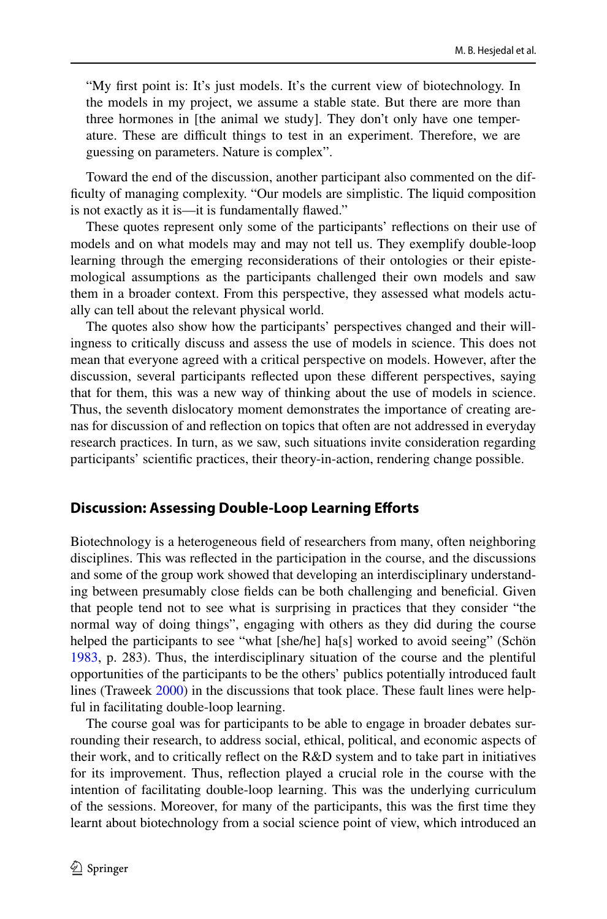"My frst point is: It's just models. It's the current view of biotechnology. In the models in my project, we assume a stable state. But there are more than three hormones in [the animal we study]. They don't only have one temperature. These are difficult things to test in an experiment. Therefore, we are guessing on parameters. Nature is complex".

Toward the end of the discussion, another participant also commented on the diffculty of managing complexity. "Our models are simplistic. The liquid composition is not exactly as it is—it is fundamentally fawed."

These quotes represent only some of the participants' refections on their use of models and on what models may and may not tell us. They exemplify double-loop learning through the emerging reconsiderations of their ontologies or their epistemological assumptions as the participants challenged their own models and saw them in a broader context. From this perspective, they assessed what models actually can tell about the relevant physical world.

The quotes also show how the participants' perspectives changed and their willingness to critically discuss and assess the use of models in science. This does not mean that everyone agreed with a critical perspective on models. However, after the discussion, several participants refected upon these diferent perspectives, saying that for them, this was a new way of thinking about the use of models in science. Thus, the seventh dislocatory moment demonstrates the importance of creating arenas for discussion of and refection on topics that often are not addressed in everyday research practices. In turn, as we saw, such situations invite consideration regarding participants' scientifc practices, their theory-in-action, rendering change possible.

#### **Discussion: Assessing Double‑Loop Learning Eforts**

Biotechnology is a heterogeneous feld of researchers from many, often neighboring disciplines. This was refected in the participation in the course, and the discussions and some of the group work showed that developing an interdisciplinary understanding between presumably close felds can be both challenging and benefcial. Given that people tend not to see what is surprising in practices that they consider "the normal way of doing things", engaging with others as they did during the course helped the participants to see "what [she/he] ha[s] worked to avoid seeing" (Schön [1983](#page-19-14), p. 283). Thus, the interdisciplinary situation of the course and the plentiful opportunities of the participants to be the others' publics potentially introduced fault lines (Traweek [2000\)](#page-19-21) in the discussions that took place. These fault lines were helpful in facilitating double-loop learning.

The course goal was for participants to be able to engage in broader debates surrounding their research, to address social, ethical, political, and economic aspects of their work, and to critically refect on the R&D system and to take part in initiatives for its improvement. Thus, refection played a crucial role in the course with the intention of facilitating double-loop learning. This was the underlying curriculum of the sessions. Moreover, for many of the participants, this was the frst time they learnt about biotechnology from a social science point of view, which introduced an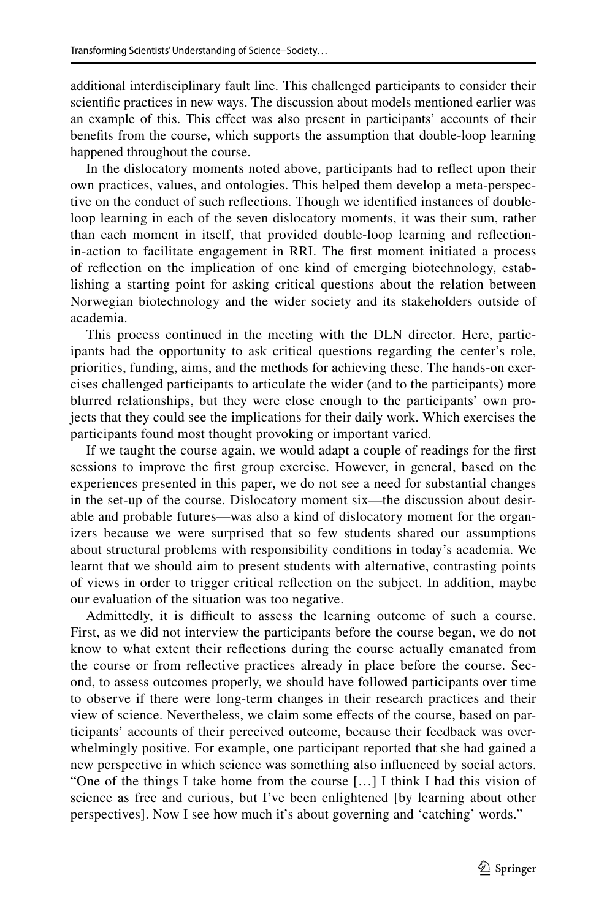additional interdisciplinary fault line. This challenged participants to consider their scientifc practices in new ways. The discussion about models mentioned earlier was an example of this. This efect was also present in participants' accounts of their benefts from the course, which supports the assumption that double-loop learning happened throughout the course.

In the dislocatory moments noted above, participants had to refect upon their own practices, values, and ontologies. This helped them develop a meta-perspective on the conduct of such refections. Though we identifed instances of doubleloop learning in each of the seven dislocatory moments, it was their sum, rather than each moment in itself, that provided double-loop learning and refectionin-action to facilitate engagement in RRI. The frst moment initiated a process of refection on the implication of one kind of emerging biotechnology, establishing a starting point for asking critical questions about the relation between Norwegian biotechnology and the wider society and its stakeholders outside of academia.

This process continued in the meeting with the DLN director. Here, participants had the opportunity to ask critical questions regarding the center's role, priorities, funding, aims, and the methods for achieving these. The hands-on exercises challenged participants to articulate the wider (and to the participants) more blurred relationships, but they were close enough to the participants' own projects that they could see the implications for their daily work. Which exercises the participants found most thought provoking or important varied.

If we taught the course again, we would adapt a couple of readings for the frst sessions to improve the frst group exercise. However, in general, based on the experiences presented in this paper, we do not see a need for substantial changes in the set-up of the course. Dislocatory moment six—the discussion about desirable and probable futures—was also a kind of dislocatory moment for the organizers because we were surprised that so few students shared our assumptions about structural problems with responsibility conditions in today's academia. We learnt that we should aim to present students with alternative, contrasting points of views in order to trigger critical refection on the subject. In addition, maybe our evaluation of the situation was too negative.

Admittedly, it is difficult to assess the learning outcome of such a course. First, as we did not interview the participants before the course began, we do not know to what extent their refections during the course actually emanated from the course or from refective practices already in place before the course. Second, to assess outcomes properly, we should have followed participants over time to observe if there were long-term changes in their research practices and their view of science. Nevertheless, we claim some efects of the course, based on participants' accounts of their perceived outcome, because their feedback was overwhelmingly positive. For example, one participant reported that she had gained a new perspective in which science was something also infuenced by social actors. "One of the things I take home from the course […] I think I had this vision of science as free and curious, but I've been enlightened [by learning about other perspectives]. Now I see how much it's about governing and 'catching' words."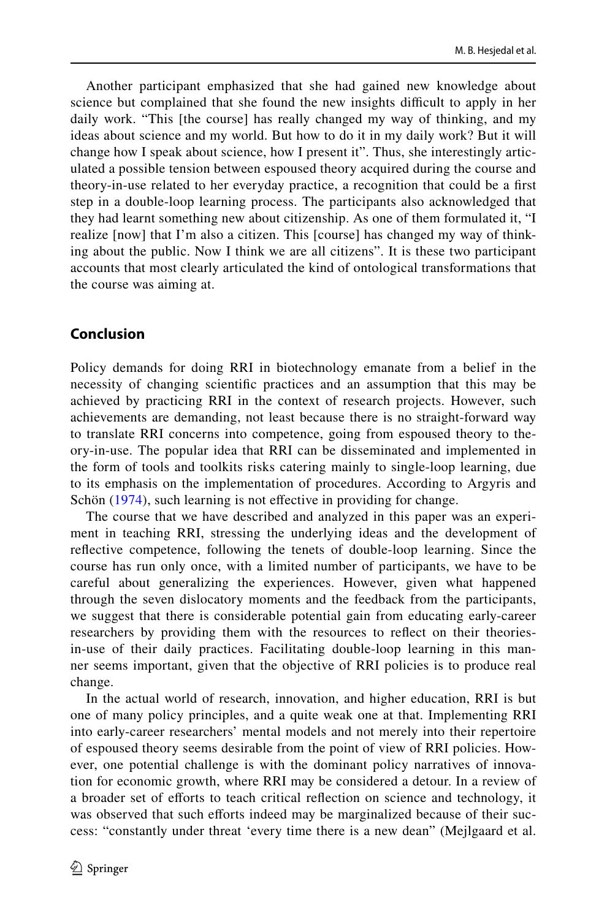Another participant emphasized that she had gained new knowledge about science but complained that she found the new insights difficult to apply in her daily work. "This [the course] has really changed my way of thinking, and my ideas about science and my world. But how to do it in my daily work? But it will change how I speak about science, how I present it". Thus, she interestingly articulated a possible tension between espoused theory acquired during the course and theory-in-use related to her everyday practice, a recognition that could be a frst step in a double-loop learning process. The participants also acknowledged that they had learnt something new about citizenship. As one of them formulated it, "I realize [now] that I'm also a citizen. This [course] has changed my way of thinking about the public. Now I think we are all citizens". It is these two participant accounts that most clearly articulated the kind of ontological transformations that the course was aiming at.

#### **Conclusion**

Policy demands for doing RRI in biotechnology emanate from a belief in the necessity of changing scientifc practices and an assumption that this may be achieved by practicing RRI in the context of research projects. However, such achievements are demanding, not least because there is no straight-forward way to translate RRI concerns into competence, going from espoused theory to theory-in-use. The popular idea that RRI can be disseminated and implemented in the form of tools and toolkits risks catering mainly to single-loop learning, due to its emphasis on the implementation of procedures. According to Argyris and Schön ([1974](#page-17-0)), such learning is not effective in providing for change.

The course that we have described and analyzed in this paper was an experiment in teaching RRI, stressing the underlying ideas and the development of refective competence, following the tenets of double-loop learning. Since the course has run only once, with a limited number of participants, we have to be careful about generalizing the experiences. However, given what happened through the seven dislocatory moments and the feedback from the participants, we suggest that there is considerable potential gain from educating early-career researchers by providing them with the resources to refect on their theoriesin-use of their daily practices. Facilitating double-loop learning in this manner seems important, given that the objective of RRI policies is to produce real change.

In the actual world of research, innovation, and higher education, RRI is but one of many policy principles, and a quite weak one at that. Implementing RRI into early-career researchers' mental models and not merely into their repertoire of espoused theory seems desirable from the point of view of RRI policies. However, one potential challenge is with the dominant policy narratives of innovation for economic growth, where RRI may be considered a detour. In a review of a broader set of eforts to teach critical refection on science and technology, it was observed that such efforts indeed may be marginalized because of their success: "constantly under threat 'every time there is a new dean" (Mejlgaard et al.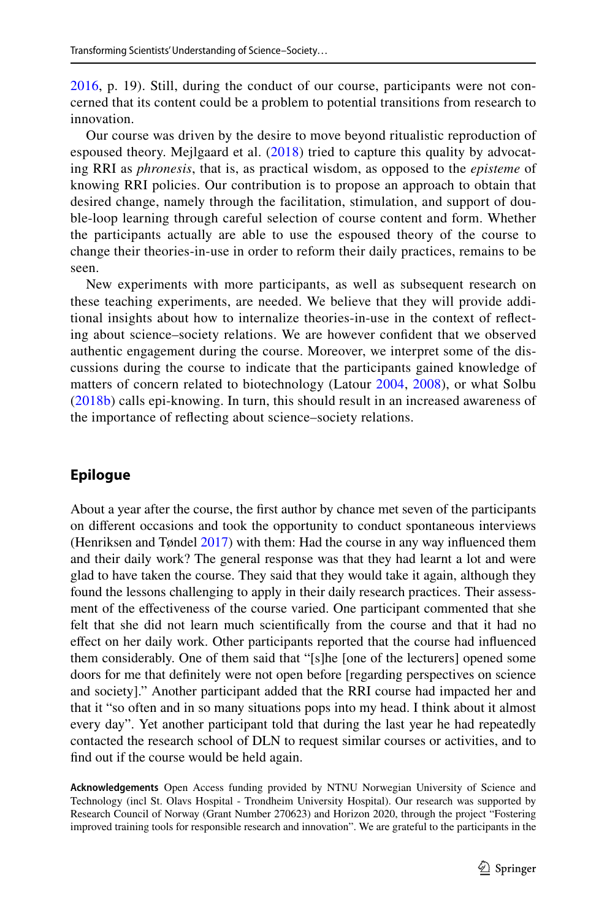[2016,](#page-19-8) p. 19). Still, during the conduct of our course, participants were not concerned that its content could be a problem to potential transitions from research to innovation.

Our course was driven by the desire to move beyond ritualistic reproduction of espoused theory. Mejlgaard et al. ([2018\)](#page-19-5) tried to capture this quality by advocating RRI as *phronesis*, that is, as practical wisdom, as opposed to the *episteme* of knowing RRI policies. Our contribution is to propose an approach to obtain that desired change, namely through the facilitation, stimulation, and support of double-loop learning through careful selection of course content and form. Whether the participants actually are able to use the espoused theory of the course to change their theories-in-use in order to reform their daily practices, remains to be seen.

New experiments with more participants, as well as subsequent research on these teaching experiments, are needed. We believe that they will provide additional insights about how to internalize theories-in-use in the context of refecting about science–society relations. We are however confdent that we observed authentic engagement during the course. Moreover, we interpret some of the discussions during the course to indicate that the participants gained knowledge of matters of concern related to biotechnology (Latour [2004](#page-18-20), [2008\)](#page-18-21), or what Solbu [\(2018b](#page-19-22)) calls epi-knowing. In turn, this should result in an increased awareness of the importance of refecting about science–society relations.

# **Epilogue**

About a year after the course, the frst author by chance met seven of the participants on diferent occasions and took the opportunity to conduct spontaneous interviews (Henriksen and Tøndel [2017](#page-18-22)) with them: Had the course in any way infuenced them and their daily work? The general response was that they had learnt a lot and were glad to have taken the course. They said that they would take it again, although they found the lessons challenging to apply in their daily research practices. Their assessment of the efectiveness of the course varied. One participant commented that she felt that she did not learn much scientifcally from the course and that it had no efect on her daily work. Other participants reported that the course had infuenced them considerably. One of them said that "[s]he [one of the lecturers] opened some doors for me that defnitely were not open before [regarding perspectives on science and society]." Another participant added that the RRI course had impacted her and that it "so often and in so many situations pops into my head. I think about it almost every day". Yet another participant told that during the last year he had repeatedly contacted the research school of DLN to request similar courses or activities, and to fnd out if the course would be held again.

**Acknowledgements** Open Access funding provided by NTNU Norwegian University of Science and Technology (incl St. Olavs Hospital - Trondheim University Hospital). Our research was supported by Research Council of Norway (Grant Number 270623) and Horizon 2020, through the project "Fostering improved training tools for responsible research and innovation". We are grateful to the participants in the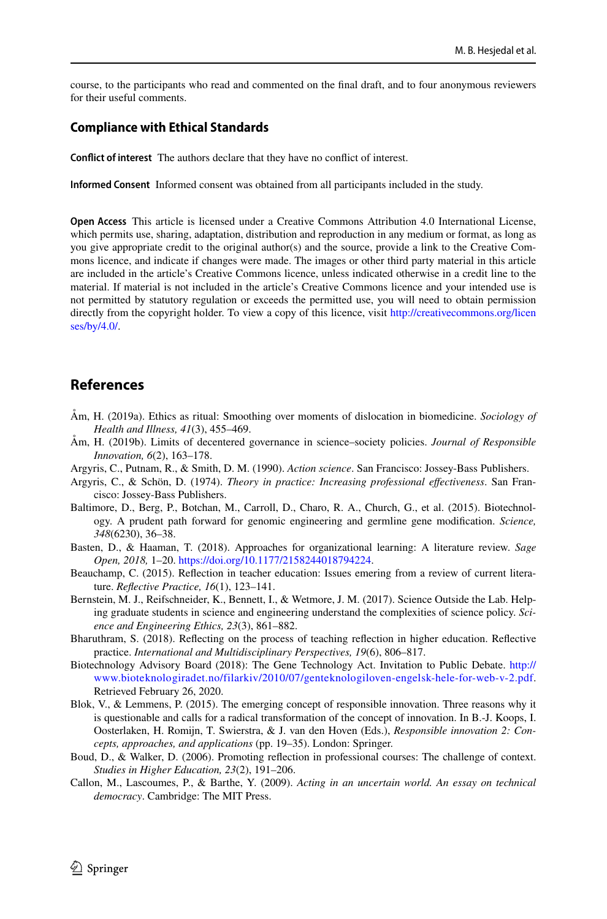course, to the participants who read and commented on the fnal draft, and to four anonymous reviewers for their useful comments.

#### **Compliance with Ethical Standards**

**Confict of interest** The authors declare that they have no confict of interest.

**Informed Consent** Informed consent was obtained from all participants included in the study.

**Open Access** This article is licensed under a Creative Commons Attribution 4.0 International License, which permits use, sharing, adaptation, distribution and reproduction in any medium or format, as long as you give appropriate credit to the original author(s) and the source, provide a link to the Creative Commons licence, and indicate if changes were made. The images or other third party material in this article are included in the article's Creative Commons licence, unless indicated otherwise in a credit line to the material. If material is not included in the article's Creative Commons licence and your intended use is not permitted by statutory regulation or exceeds the permitted use, you will need to obtain permission directly from the copyright holder. To view a copy of this licence, visit [http://creativecommons.org/licen](http://creativecommons.org/licenses/by/4.0/) [ses/by/4.0/](http://creativecommons.org/licenses/by/4.0/).

### **References**

- <span id="page-17-1"></span>Åm, H. (2019a). Ethics as ritual: Smoothing over moments of dislocation in biomedicine. *Sociology of Health and Illness, 41*(3), 455–469.
- <span id="page-17-2"></span>Åm, H. (2019b). Limits of decentered governance in science–society policies. *Journal of Responsible Innovation, 6*(2), 163–178.
- <span id="page-17-10"></span>Argyris, C., Putnam, R., & Smith, D. M. (1990). *Action science*. San Francisco: Jossey-Bass Publishers.
- <span id="page-17-0"></span>Argyris, C., & Schön, D. (1974). *Theory in practice: Increasing professional efectiveness*. San Francisco: Jossey-Bass Publishers.
- <span id="page-17-11"></span>Baltimore, D., Berg, P., Botchan, M., Carroll, D., Charo, R. A., Church, G., et al. (2015). Biotechnology. A prudent path forward for genomic engineering and germline gene modifcation. *Science, 348*(6230), 36–38.
- <span id="page-17-6"></span>Basten, D., & Haaman, T. (2018). Approaches for organizational learning: A literature review. *Sage Open, 2018,* 1–20. [https://doi.org/10.1177/2158244018794224.](https://doi.org/10.1177/2158244018794224)
- <span id="page-17-9"></span>Beauchamp, C. (2015). Refection in teacher education: Issues emering from a review of current literature. *Refective Practice, 16*(1), 123–141.
- <span id="page-17-4"></span>Bernstein, M. J., Reifschneider, K., Bennett, I., & Wetmore, J. M. (2017). Science Outside the Lab. Helping graduate students in science and engineering understand the complexities of science policy. *Science and Engineering Ethics, 23*(3), 861–882.
- <span id="page-17-7"></span>Bharuthram, S. (2018). Refecting on the process of teaching refection in higher education. Refective practice. *International and Multidisciplinary Perspectives, 19*(6), 806–817.
- <span id="page-17-12"></span>Biotechnology Advisory Board (2018): The Gene Technology Act. Invitation to Public Debate. [http://](http://www.bioteknologiradet.no/filarkiv/2010/07/genteknologiloven-engelsk-hele-for-web-v-2.pdf) [www.bioteknologiradet.no/filarkiv/2010/07/genteknologiloven-engelsk-hele-for-web-v-2.pdf](http://www.bioteknologiradet.no/filarkiv/2010/07/genteknologiloven-engelsk-hele-for-web-v-2.pdf). Retrieved February 26, 2020.
- <span id="page-17-3"></span>Blok, V., & Lemmens, P. (2015). The emerging concept of responsible innovation. Three reasons why it is questionable and calls for a radical transformation of the concept of innovation. In B.-J. Koops, I. Oosterlaken, H. Romijn, T. Swierstra, & J. van den Hoven (Eds.), *Responsible innovation 2: Concepts, approaches, and applications* (pp. 19–35). London: Springer.
- <span id="page-17-8"></span>Boud, D., & Walker, D. (2006). Promoting refection in professional courses: The challenge of context. *Studies in Higher Education, 23*(2), 191–206.
- <span id="page-17-5"></span>Callon, M., Lascoumes, P., & Barthe, Y. (2009). *Acting in an uncertain world. An essay on technical democracy*. Cambridge: The MIT Press.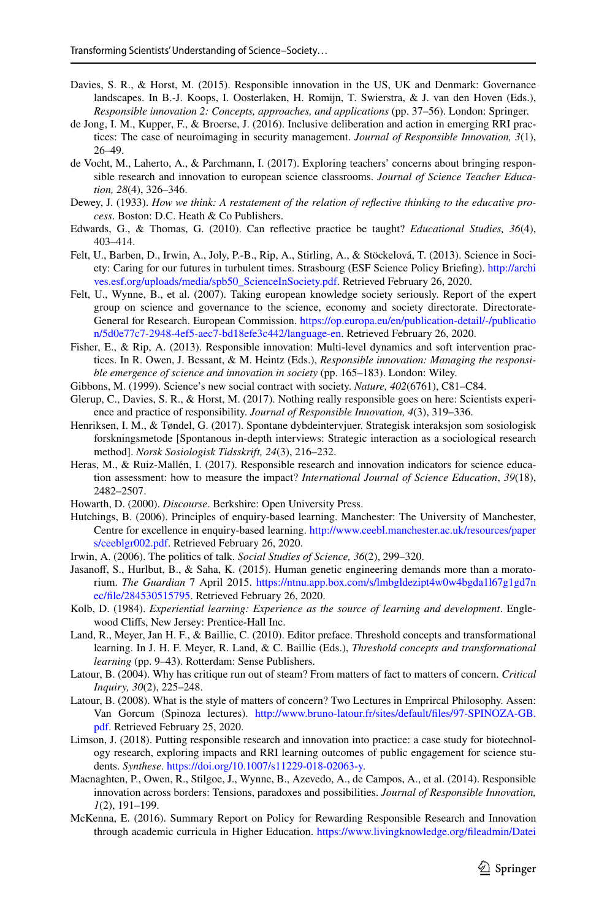- <span id="page-18-2"></span>Davies, S. R., & Horst, M. (2015). Responsible innovation in the US, UK and Denmark: Governance landscapes. In B.-J. Koops, I. Oosterlaken, H. Romijn, T. Swierstra, & J. van den Hoven (Eds.), *Responsible innovation 2: Concepts, approaches, and applications* (pp. 37–56). London: Springer.
- <span id="page-18-8"></span>de Jong, I. M., Kupper, F., & Broerse, J. (2016). Inclusive deliberation and action in emerging RRI practices: The case of neuroimaging in security management. *Journal of Responsible Innovation, 3*(1), 26–49.
- <span id="page-18-7"></span>de Vocht, M., Laherto, A., & Parchmann, I. (2017). Exploring teachers' concerns about bringing responsible research and innovation to european science classrooms. *Journal of Science Teacher Education, 28*(4), 326–346.
- <span id="page-18-13"></span>Dewey, J. (1933). *How we think: A restatement of the relation of refective thinking to the educative process*. Boston: D.C. Heath & Co Publishers.
- <span id="page-18-15"></span>Edwards, G., & Thomas, G. (2010). Can refective practice be taught? *Educational Studies, 36*(4), 403–414.
- <span id="page-18-11"></span>Felt, U., Barben, D., Irwin, A., Joly, P.-B., Rip, A., Stirling, A., & Stöckelová, T. (2013). Science in Society: Caring for our futures in turbulent times. Strasbourg (ESF Science Policy Briefng). [http://archi](http://archives.esf.org/uploads/media/spb50_ScienceInSociety.pdf) [ves.esf.org/uploads/media/spb50\\_ScienceInSociety.pdf](http://archives.esf.org/uploads/media/spb50_ScienceInSociety.pdf). Retrieved February 26, 2020.
- <span id="page-18-10"></span>Felt, U., Wynne, B., et al. (2007). Taking european knowledge society seriously. Report of the expert group on science and governance to the science, economy and society directorate. Directorate-General for Research. European Commission. [https://op.europa.eu/en/publication-detail/-/publicatio](https://op.europa.eu/en/publication-detail/-/publication/5d0e77c7-2948-4ef5-aec7-bd18efe3c442/language-en) [n/5d0e77c7-2948-4ef5-aec7-bd18efe3c442/language-en](https://op.europa.eu/en/publication-detail/-/publication/5d0e77c7-2948-4ef5-aec7-bd18efe3c442/language-en). Retrieved February 26, 2020.
- <span id="page-18-1"></span>Fisher, E., & Rip, A. (2013). Responsible innovation: Multi-level dynamics and soft intervention practices. In R. Owen, J. Bessant, & M. Heintz (Eds.), *Responsible innovation: Managing the responsible emergence of science and innovation in society* (pp. 165–183). London: Wiley.
- <span id="page-18-19"></span>Gibbons, M. (1999). Science's new social contract with society. *Nature, 402*(6761), C81–C84.
- <span id="page-18-3"></span>Glerup, C., Davies, S. R., & Horst, M. (2017). Nothing really responsible goes on here: Scientists experience and practice of responsibility. *Journal of Responsible Innovation, 4*(3), 319–336.
- <span id="page-18-22"></span>Henriksen, I. M., & Tøndel, G. (2017). Spontane dybdeintervjuer. Strategisk interaksjon som sosiologisk forskningsmetode [Spontanous in-depth interviews: Strategic interaction as a sociological research method]. *Norsk Sosiologisk Tidsskrift, 24*(3), 216–232.
- <span id="page-18-4"></span>Heras, M., & Ruiz-Mallén, I. (2017). Responsible research and innovation indicators for science education assessment: how to measure the impact? *International Journal of Science Education*, *39*(18), 2482–2507.
- <span id="page-18-17"></span>Howarth, D. (2000). *Discourse*. Berkshire: Open University Press.
- <span id="page-18-12"></span>Hutchings, B. (2006). Principles of enquiry-based learning. Manchester: The University of Manchester, Centre for excellence in enquiry-based learning. [http://www.ceebl.manchester.ac.uk/resources/paper](http://www.ceebl.manchester.ac.uk/resources/papers/ceeblgr002.pdf) [s/ceeblgr002.pdf.](http://www.ceebl.manchester.ac.uk/resources/papers/ceeblgr002.pdf) Retrieved February 26, 2020.
- <span id="page-18-9"></span>Irwin, A. (2006). The politics of talk. *Social Studies of Science, 36*(2), 299–320.
- <span id="page-18-18"></span>Jasanoff, S., Hurlbut, B., & Saha, K. (2015). Human genetic engineering demands more than a moratorium. *The Guardian* 7 April 2015. [https://ntnu.app.box.com/s/lmbgldezipt4w0w4bgda1l67g1gd7n](https://ntnu.app.box.com/s/lmbgldezipt4w0w4bgda1l67g1gd7nec/file/284530515795) [ec/fle/284530515795.](https://ntnu.app.box.com/s/lmbgldezipt4w0w4bgda1l67g1gd7nec/file/284530515795) Retrieved February 26, 2020.
- <span id="page-18-14"></span>Kolb, D. (1984). *Experiential learning: Experience as the source of learning and development*. Englewood Clifs, New Jersey: Prentice-Hall Inc.
- <span id="page-18-16"></span>Land, R., Meyer, Jan H. F., & Baillie, C. (2010). Editor preface. Threshold concepts and transformational learning. In J. H. F. Meyer, R. Land, & C. Baillie (Eds.), *Threshold concepts and transformational learning* (pp. 9–43). Rotterdam: Sense Publishers.
- <span id="page-18-20"></span>Latour, B. (2004). Why has critique run out of steam? From matters of fact to matters of concern. *Critical Inquiry, 30*(2), 225–248.
- <span id="page-18-21"></span>Latour, B. (2008). What is the style of matters of concern? Two Lectures in Emprircal Philosophy. Assen: Van Gorcum (Spinoza lectures). [http://www.bruno-latour.fr/sites/default/fles/97-SPINOZA-GB.](http://www.bruno-latour.fr/sites/default/files/97-SPINOZA-GB.pdf) [pdf.](http://www.bruno-latour.fr/sites/default/files/97-SPINOZA-GB.pdf) Retrieved February 25, 2020.
- <span id="page-18-5"></span>Limson, J. (2018). Putting responsible research and innovation into practice: a case study for biotechnology research, exploring impacts and RRI learning outcomes of public engagement for science students. *Synthese*. [https://doi.org/10.1007/s11229-018-02063-y.](https://doi.org/10.1007/s11229-018-02063-y)
- <span id="page-18-0"></span>Macnaghten, P., Owen, R., Stilgoe, J., Wynne, B., Azevedo, A., de Campos, A., et al. (2014). Responsible innovation across borders: Tensions, paradoxes and possibilities. *Journal of Responsible Innovation, 1*(2), 191–199.
- <span id="page-18-6"></span>McKenna, E. (2016). Summary Report on Policy for Rewarding Responsible Research and Innovation through academic curricula in Higher Education. [https://www.livingknowledge.org/fleadmin/Datei](https://www.livingknowledge.org/fileadmin/Dateien-Living-Knowledge/Dokumente_Dateien/EnRRICH/Deliverable_5.1_final.pdf)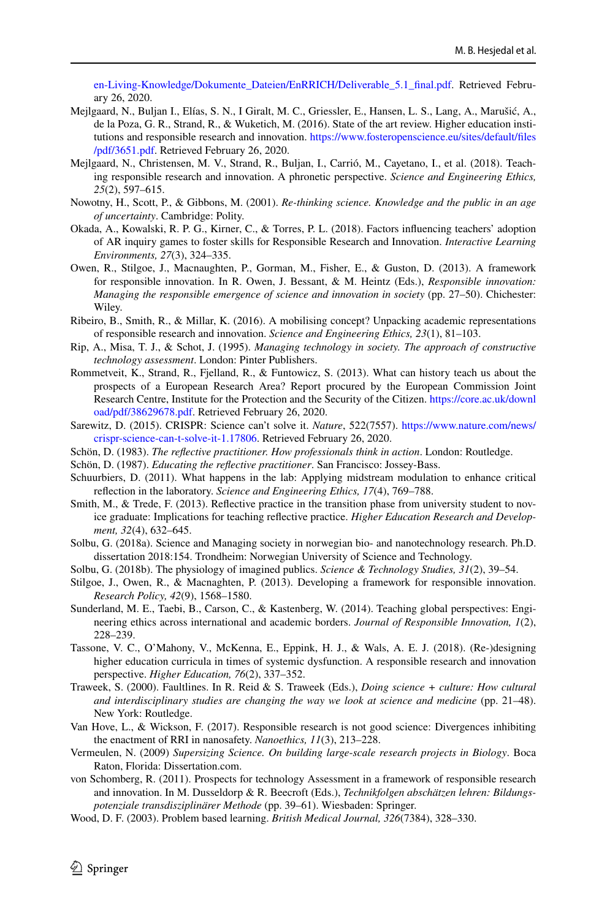[en-Living-Knowledge/Dokumente\\_Dateien/EnRRICH/Deliverable\\_5.1\\_fnal.pdf.](https://www.livingknowledge.org/fileadmin/Dateien-Living-Knowledge/Dokumente_Dateien/EnRRICH/Deliverable_5.1_final.pdf) Retrieved February 26, 2020.

- <span id="page-19-8"></span>Mejlgaard, N., Buljan I., Elías, S. N., I Giralt, M. C., Griessler, E., Hansen, L. S., Lang, A., Marušić, A., de la Poza, G. R., Strand, R., & Wuketich, M. (2016). State of the art review. Higher education institutions and responsible research and innovation. [https://www.fosteropenscience.eu/sites/default/fles](https://www.fosteropenscience.eu/sites/default/files/pdf/3651.pdf) [/pdf/3651.pdf.](https://www.fosteropenscience.eu/sites/default/files/pdf/3651.pdf) Retrieved February 26, 2020.
- <span id="page-19-5"></span>Mejlgaard, N., Christensen, M. V., Strand, R., Buljan, I., Carrió, M., Cayetano, I., et al. (2018). Teaching responsible research and innovation. A phronetic perspective. *Science and Engineering Ethics, 25*(2), 597–615.
- <span id="page-19-11"></span>Nowotny, H., Scott, P., & Gibbons, M. (2001). *Re-thinking science. Knowledge and the public in an age of uncertainty*. Cambridge: Polity.
- <span id="page-19-9"></span>Okada, A., Kowalski, R. P. G., Kirner, C., & Torres, P. L. (2018). Factors infuencing teachers' adoption of AR inquiry games to foster skills for Responsible Research and Innovation. *Interactive Learning Environments, 27*(3), 324–335.
- <span id="page-19-1"></span>Owen, R., Stilgoe, J., Macnaughten, P., Gorman, M., Fisher, E., & Guston, D. (2013). A framework for responsible innovation. In R. Owen, J. Bessant, & M. Heintz (Eds.), *Responsible innovation: Managing the responsible emergence of science and innovation in society* (pp. 27–50). Chichester: Wiley.
- <span id="page-19-2"></span>Ribeiro, B., Smith, R., & Millar, K. (2016). A mobilising concept? Unpacking academic representations of responsible research and innovation. *Science and Engineering Ethics, 23*(1), 81–103.
- <span id="page-19-10"></span>Rip, A., Misa, T. J., & Schot, J. (1995). *Managing technology in society. The approach of constructive technology assessment*. London: Pinter Publishers.
- <span id="page-19-18"></span>Rommetveit, K., Strand, R., Fjelland, R., & Funtowicz, S. (2013). What can history teach us about the prospects of a European Research Area? Report procured by the European Commission Joint Research Centre, Institute for the Protection and the Security of the Citizen. [https://core.ac.uk/downl](https://core.ac.uk/download/pdf/38629678.pdf) [oad/pdf/38629678.pdf](https://core.ac.uk/download/pdf/38629678.pdf). Retrieved February 26, 2020.
- <span id="page-19-19"></span>Sarewitz, D. (2015). CRISPR: Science can't solve it. *Nature*, 522(7557). [https://www.nature.com/news/](https://www.nature.com/news/crispr-science-can-t-solve-it-1.17806) [crispr-science-can-t-solve-it-1.17806](https://www.nature.com/news/crispr-science-can-t-solve-it-1.17806). Retrieved February 26, 2020.
- <span id="page-19-14"></span>Schön, D. (1983). *The refective practitioner. How professionals think in action*. London: Routledge.
- <span id="page-19-15"></span>Schön, D. (1987). *Educating the refective practitioner*. San Francisco: Jossey-Bass.
- <span id="page-19-12"></span>Schuurbiers, D. (2011). What happens in the lab: Applying midstream modulation to enhance critical refection in the laboratory. *Science and Engineering Ethics, 17*(4), 769–788.
- <span id="page-19-16"></span>Smith, M., & Trede, F. (2013). Reflective practice in the transition phase from university student to novice graduate: Implications for teaching refective practice. *Higher Education Research and Development, 32*(4), 632–645.
- <span id="page-19-3"></span>Solbu, G. (2018a). Science and Managing society in norwegian bio- and nanotechnology research. Ph.D. dissertation 2018:154. Trondheim: Norwegian University of Science and Technology.
- <span id="page-19-22"></span>Solbu, G. (2018b). The physiology of imagined publics. *Science & Technology Studies, 31*(2), 39–54.
- <span id="page-19-7"></span>Stilgoe, J., Owen, R., & Macnaghten, P. (2013). Developing a framework for responsible innovation. *Research Policy, 42*(9), 1568–1580.
- <span id="page-19-17"></span>Sunderland, M. E., Taebi, B., Carson, C., & Kastenberg, W. (2014). Teaching global perspectives: Engineering ethics across international and academic borders. *Journal of Responsible Innovation, 1*(2), 228–239.
- <span id="page-19-6"></span>Tassone, V. C., O'Mahony, V., McKenna, E., Eppink, H. J., & Wals, A. E. J. (2018). (Re-)designing higher education curricula in times of systemic dysfunction. A responsible research and innovation perspective. *Higher Education, 76*(2), 337–352.
- <span id="page-19-21"></span>Traweek, S. (2000). Faultlines. In R. Reid & S. Traweek (Eds.), *Doing science + culture: How cultural and interdisciplinary studies are changing the way we look at science and medicine* (pp. 21–48). New York: Routledge.
- <span id="page-19-4"></span>Van Hove, L., & Wickson, F. (2017). Responsible research is not good science: Divergences inhibiting the enactment of RRI in nanosafety. *Nanoethics, 11*(3), 213–228.
- <span id="page-19-20"></span>Vermeulen, N. (2009) *Supersizing Science. On building large*-*scale research projects in Biology*. Boca Raton, Florida: Dissertation.com.
- <span id="page-19-0"></span>von Schomberg, R. (2011). Prospects for technology Assessment in a framework of responsible research and innovation. In M. Dusseldorp & R. Beecroft (Eds.), *Technikfolgen abschätzen lehren: Bildungspotenziale transdisziplinärer Methode* (pp. 39–61). Wiesbaden: Springer.
- <span id="page-19-13"></span>Wood, D. F. (2003). Problem based learning. *British Medical Journal, 326*(7384), 328–330.